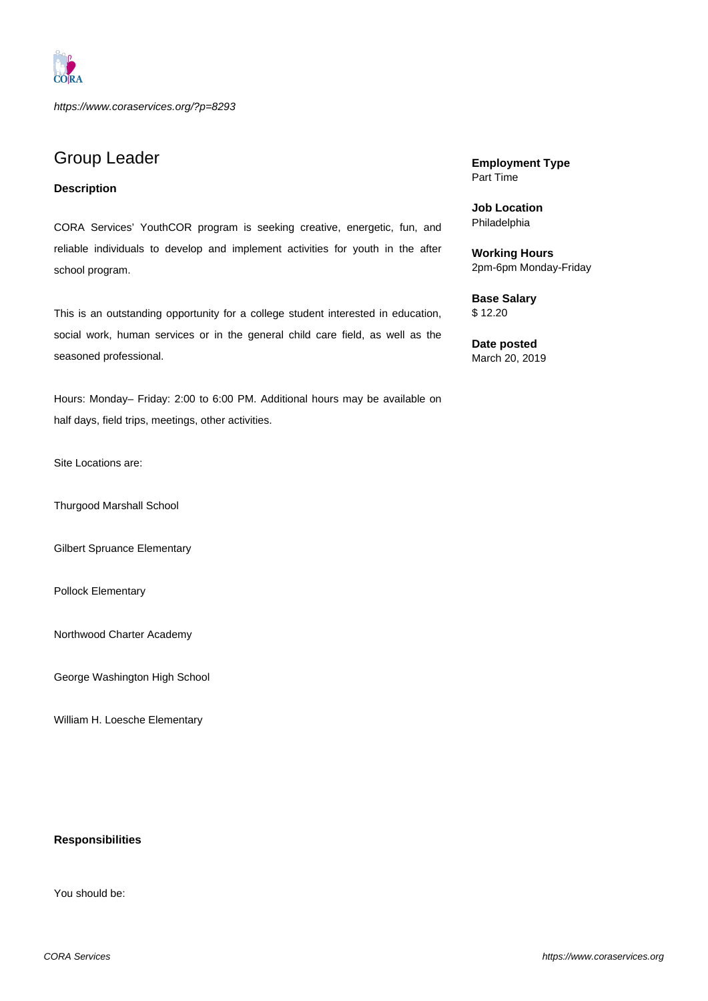

https://www.coraservices.org/?p=8293

# Group Leader

## **Description**

CORA Services' YouthCOR program is seeking creative, energetic, fun, and reliable individuals to develop and implement activities for youth in the after school program.

This is an outstanding opportunity for a college student interested in education, social work, human services or in the general child care field, as well as the seasoned professional.

Hours: Monday– Friday: 2:00 to 6:00 PM. Additional hours may be available on half days, field trips, meetings, other activities.

Site Locations are:

Thurgood Marshall School

Gilbert Spruance Elementary

Pollock Elementary

Northwood Charter Academy

George Washington High School

William H. Loesche Elementary

#### **Responsibilities**

You should be:

**Employment Type** Part Time

**Job Location** Philadelphia

**Working Hours** 2pm-6pm Monday-Friday

**Base Salary** \$ 12.20

**Date posted** March 20, 2019